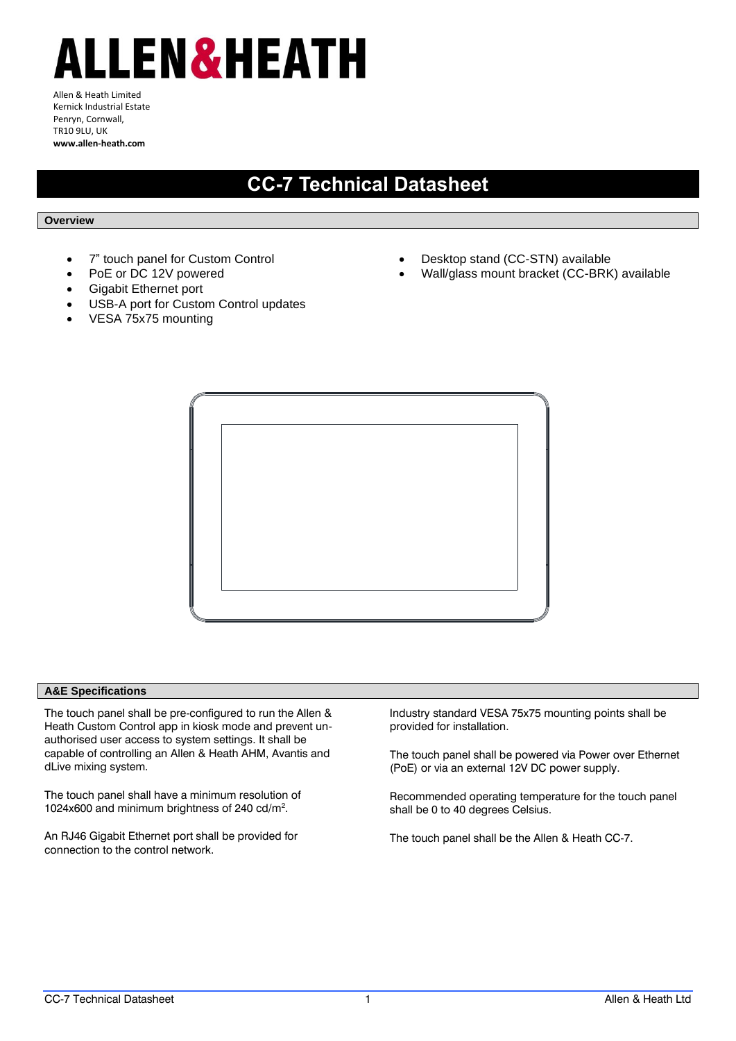# ALLEN&HEATH

Allen & Heath Limited Kernick Industrial Estate Penryn, Cornwall, TR10 9LU, UK **www.allen-heath.com**

## **CC-7 Technical Datasheet**

#### **Overview**

- 7" touch panel for Custom Control
- PoE or DC 12V powered
- Gigabit Ethernet port
- USB-A port for Custom Control updates
- VESA 75x75 mounting
- Desktop stand (CC-STN) available
- Wall/glass mount bracket (CC-BRK) available



#### **A&E Specifications**

The touch panel shall be pre-configured to run the Allen & Heath Custom Control app in kiosk mode and prevent unauthorised user access to system settings. It shall be capable of controlling an Allen & Heath AHM, Avantis and dLive mixing system.

The touch panel shall have a minimum resolution of 1024x600 and minimum brightness of 240 cd/m<sup>2</sup> .

An RJ46 Gigabit Ethernet port shall be provided for connection to the control network.

Industry standard VESA 75x75 mounting points shall be provided for installation.

The touch panel shall be powered via Power over Ethernet (PoE) or via an external 12V DC power supply.

Recommended operating temperature for the touch panel shall be 0 to 40 degrees Celsius.

The touch panel shall be the Allen & Heath CC-7.